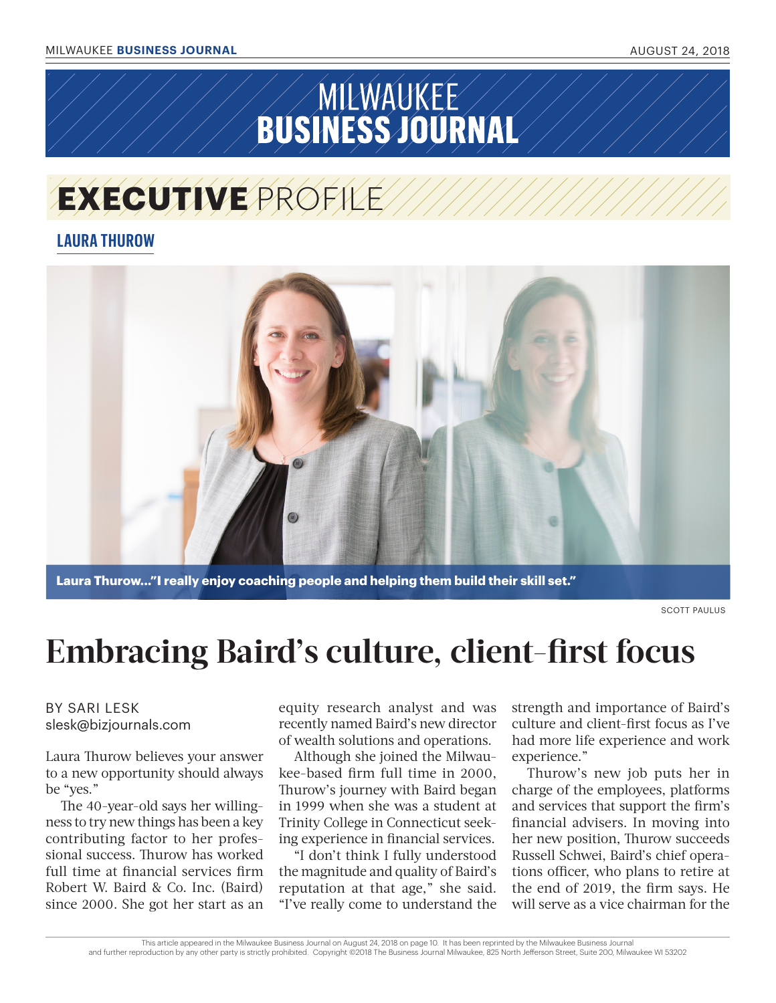# **SUSINESS JOURNAL**

## **EXECUTIVE** PROFILE

### **LAURA THUROW**



**Laura Thurow..."I really enjoy coaching people and helping them build their skill set."** 

SCOTT PAULUS

## **Embracing Baird's culture, client-first focus**

#### BY SARI LESK slesk@bizjournals.com

Laura Thurow believes your answer to a new opportunity should always be "yes."

The 40-year-old says her willingness to try new things has been a key contributing factor to her professional success. Thurow has worked full time at financial services firm Robert W. Baird & Co. Inc. (Baird) since 2000. She got her start as an

equity research analyst and was recently named Baird's new director of wealth solutions and operations.

Although she joined the Milwaukee-based firm full time in 2000, Thurow's journey with Baird began in 1999 when she was a student at Trinity College in Connecticut seeking experience in financial services.

"I don't think I fully understood the magnitude and quality of Baird's reputation at that age," she said. "I've really come to understand the strength and importance of Baird's culture and client-first focus as I've had more life experience and work experience."

Thurow's new job puts her in charge of the employees, platforms and services that support the firm's financial advisers. In moving into her new position, Thurow succeeds Russell Schwei, Baird's chief operations officer, who plans to retire at the end of 2019, the firm says. He will serve as a vice chairman for the

This article appeared in the Milwaukee Business Journal on August 24, 2018 on page 10. It has been reprinted by the Milwaukee Business Journal and further reproduction by any other party is strictly prohibited. Copyright @2018 The Business Journal Milwaukee, 825 North Jefferson Street, Suite 200, Milwaukee WI 53202